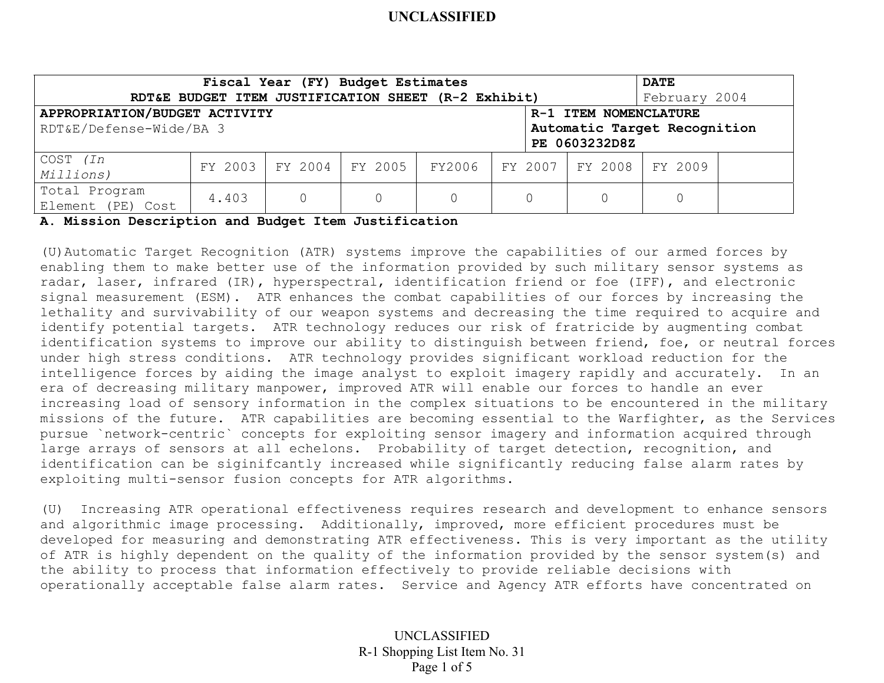| Fiscal Year (FY) Budget Estimates                       |       |  |                         |          |  |         |                   | <b>DATE</b>   |  |
|---------------------------------------------------------|-------|--|-------------------------|----------|--|---------|-------------------|---------------|--|
| RDT&E BUDGET ITEM JUSTIFICATION SHEET (R-2 Exhibit)     |       |  |                         |          |  |         |                   | February 2004 |  |
| APPROPRIATION/BUDGET ACTIVITY<br>R-1 ITEM NOMENCLATURE  |       |  |                         |          |  |         |                   |               |  |
| RDT&E/Defense-Wide/BA 3<br>Automatic Target Recognition |       |  |                         |          |  |         |                   |               |  |
| PE 0603232D8Z                                           |       |  |                         |          |  |         |                   |               |  |
| COST <i>(In</i>                                         |       |  | FY 2003 FY 2004 FY 2005 | FY2006   |  | FY 2007 | FY 2008   FY 2009 |               |  |
| Millions)                                               |       |  |                         |          |  |         |                   |               |  |
| Total Program                                           | 4.403 |  |                         | $\Omega$ |  |         |                   |               |  |
| Element (PE) Cost                                       |       |  |                         |          |  |         |                   |               |  |

**A. Mission Description and Budget Item Justification** 

(U)Automatic Target Recognition (ATR) systems improve the capabilities of our armed forces by enabling them to make better use of the information provided by such military sensor systems as radar, laser, infrared (IR), hyperspectral, identification friend or foe (IFF), and electronic signal measurement (ESM). ATR enhances the combat capabilities of our forces by increasing the lethality and survivability of our weapon systems and decreasing the time required to acquire and identify potential targets. ATR technology reduces our risk of fratricide by augmenting combat identification systems to improve our ability to distinguish between friend, foe, or neutral forces under high stress conditions. ATR technology provides significant workload reduction for the intelligence forces by aiding the image analyst to exploit imagery rapidly and accurately. In an era of decreasing military manpower, improved ATR will enable our forces to handle an ever increasing load of sensory information in the complex situations to be encountered in the military missions of the future. ATR capabilities are becoming essential to the Warfighter, as the Services pursue `network-centric` concepts for exploiting sensor imagery and information acquired through large arrays of sensors at all echelons. Probability of target detection, recognition, and identification can be siginifcantly increased while significantly reducing false alarm rates by exploiting multi-sensor fusion concepts for ATR algorithms.

(U) Increasing ATR operational effectiveness requires research and development to enhance sensors and algorithmic image processing. Additionally, improved, more efficient procedures must be developed for measuring and demonstrating ATR effectiveness. This is very important as the utility of ATR is highly dependent on the quality of the information provided by the sensor system(s) and the ability to process that information effectively to provide reliable decisions with operationally acceptable false alarm rates. Service and Agency ATR efforts have concentrated on

> UNCLASSIFIED R-1 Shopping List Item No. 31 Page 1 of 5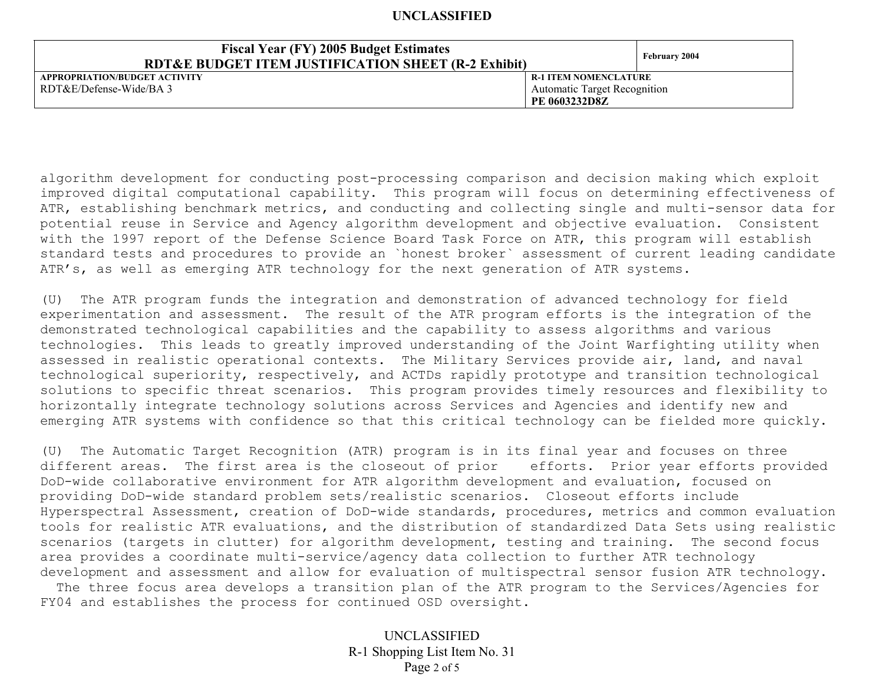| <b>Fiscal Year (FY) 2005 Budget Estimates</b><br><b>RDT&amp;E BUDGET ITEM JUSTIFICATION SHEET (R-2 Exhibit)</b> | <b>February 2004</b>                |  |
|-----------------------------------------------------------------------------------------------------------------|-------------------------------------|--|
| APPROPRIATION/BUDGET ACTIVITY                                                                                   | <b>R-1 ITEM NOMENCLATURE</b>        |  |
| RDT&E/Defense-Wide/BA 3                                                                                         | <b>Automatic Target Recognition</b> |  |
|                                                                                                                 | PE 0603232D8Z                       |  |

algorithm development for conducting post-processing comparison and decision making which exploit improved digital computational capability. This program will focus on determining effectiveness of ATR, establishing benchmark metrics, and conducting and collecting single and multi-sensor data for potential reuse in Service and Agency algorithm development and objective evaluation. Consistent with the 1997 report of the Defense Science Board Task Force on ATR, this program will establish standard tests and procedures to provide an `honest broker` assessment of current leading candidate ATR's, as well as emerging ATR technology for the next generation of ATR systems.

(U) The ATR program funds the integration and demonstration of advanced technology for field experimentation and assessment. The result of the ATR program efforts is the integration of the demonstrated technological capabilities and the capability to assess algorithms and various technologies. This leads to greatly improved understanding of the Joint Warfighting utility when assessed in realistic operational contexts. The Military Services provide air, land, and naval technological superiority, respectively, and ACTDs rapidly prototype and transition technological solutions to specific threat scenarios. This program provides timely resources and flexibility to horizontally integrate technology solutions across Services and Agencies and identify new and emerging ATR systems with confidence so that this critical technology can be fielded more quickly.

(U) The Automatic Target Recognition (ATR) program is in its final year and focuses on three different areas. The first area is the closeout of prior efforts. Prior year efforts provided DoD-wide collaborative environment for ATR algorithm development and evaluation, focused on providing DoD-wide standard problem sets/realistic scenarios. Closeout efforts include Hyperspectral Assessment, creation of DoD-wide standards, procedures, metrics and common evaluation tools for realistic ATR evaluations, and the distribution of standardized Data Sets using realistic scenarios (targets in clutter) for algorithm development, testing and training. The second focus area provides a coordinate multi-service/agency data collection to further ATR technology development and assessment and allow for evaluation of multispectral sensor fusion ATR technology.

 The three focus area develops a transition plan of the ATR program to the Services/Agencies for FY04 and establishes the process for continued OSD oversight.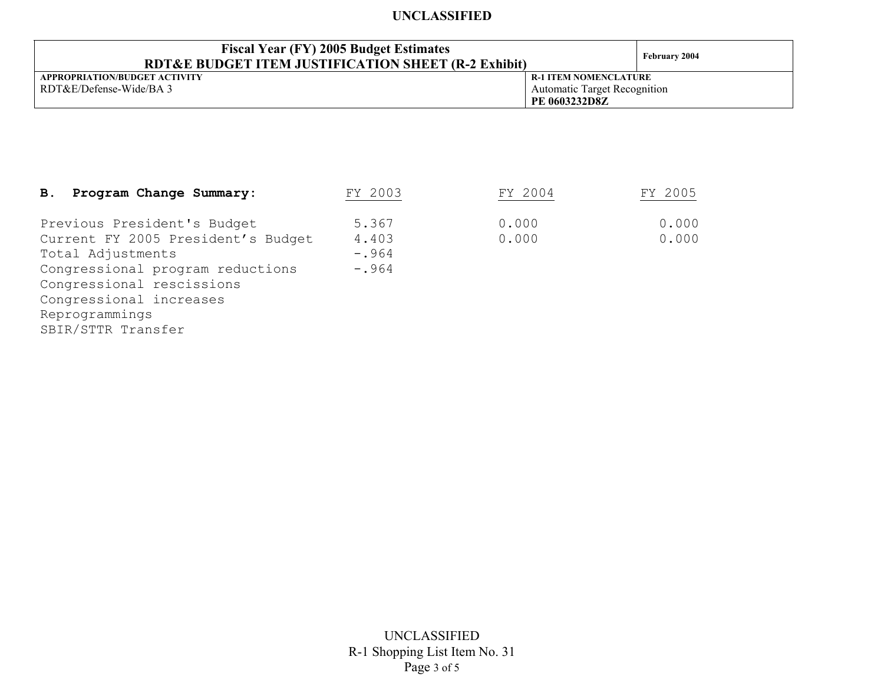| <b>Fiscal Year (FY) 2005 Budget Estimates</b><br>RDT&E BUDGET ITEM JUSTIFICATION SHEET (R-2 Exhibit) | February 2004                       |  |
|------------------------------------------------------------------------------------------------------|-------------------------------------|--|
| APPROPRIATION/BUDGET ACTIVITY                                                                        | <b>R-1 ITEM NOMENCLATURE</b>        |  |
| RDT&E/Defense-Wide/BA 3                                                                              | <b>Automatic Target Recognition</b> |  |
|                                                                                                      | PE 0603232D8Z                       |  |

| Program Change Summary:<br>B.                                                                                                                                                                                              | FY 2003                              | FY 2004        | FY 2005        |
|----------------------------------------------------------------------------------------------------------------------------------------------------------------------------------------------------------------------------|--------------------------------------|----------------|----------------|
| Previous President's Budget<br>Current FY 2005 President's Budget<br>Total Adjustments<br>Congressional program reductions<br>Congressional rescissions<br>Congressional increases<br>Reprogrammings<br>SBIR/STTR Transfer | 5.367<br>4.403<br>$-.964$<br>$-.964$ | 0.000<br>0.000 | 0.000<br>0.000 |
|                                                                                                                                                                                                                            |                                      |                |                |

UNCLASSIFIED R-1 Shopping List Item No. 31 Page 3 of 5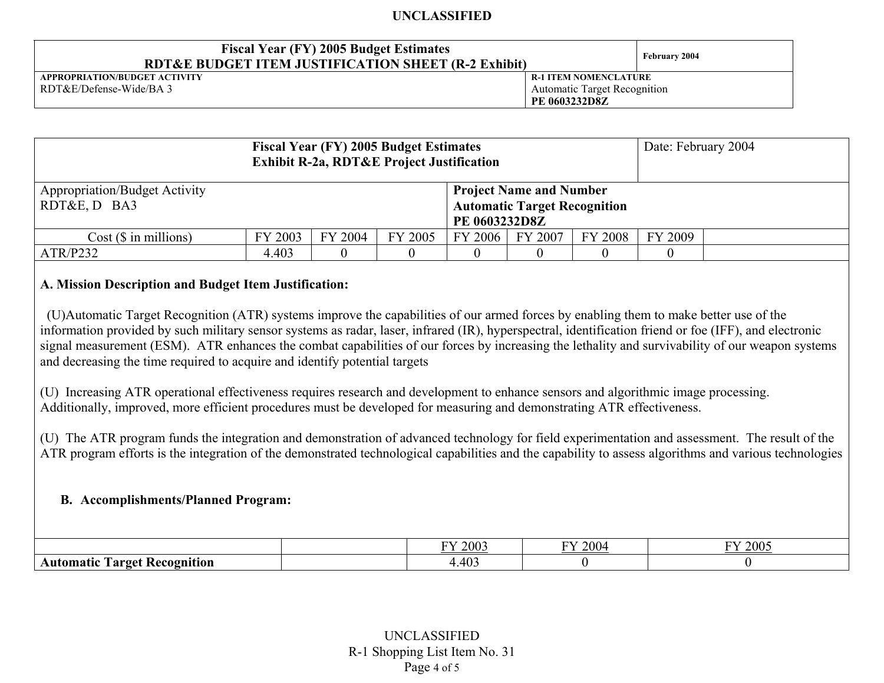| <b>Fiscal Year (FY) 2005 Budget Estimates</b><br><b>RDT&amp;E BUDGET ITEM JUSTIFICATION SHEET (R-2 Exhibit)</b> |                                     | February 2004 |
|-----------------------------------------------------------------------------------------------------------------|-------------------------------------|---------------|
| APPROPRIATION/BUDGET ACTIVITY                                                                                   | <b>R-1 ITEM NOMENCLATURE</b>        |               |
| RDT&E/Defense-Wide/BA 3                                                                                         | <b>Automatic Target Recognition</b> |               |
|                                                                                                                 | PE 0603232D8Z                       |               |

| <b>Fiscal Year (FY) 2005 Budget Estimates</b><br><b>Exhibit R-2a, RDT&amp;E Project Justification</b>                                          |         |         |         |         |         |         | Date: February 2004 |  |
|------------------------------------------------------------------------------------------------------------------------------------------------|---------|---------|---------|---------|---------|---------|---------------------|--|
| <b>Appropriation/Budget Activity</b><br><b>Project Name and Number</b><br>RDT&E, D BA3<br><b>Automatic Target Recognition</b><br>PE 0603232D8Z |         |         |         |         |         |         |                     |  |
| $Cost$ ( $\$\$ in millions)                                                                                                                    | FY 2003 | FY 2004 | FY 2005 | FY 2006 | FY 2007 | FY 2008 | FY 2009             |  |
| ATR/P232                                                                                                                                       | 4.403   |         |         |         |         |         |                     |  |

## **A. Mission Description and Budget Item Justification:**

 (U)Automatic Target Recognition (ATR) systems improve the capabilities of our armed forces by enabling them to make better use of the information provided by such military sensor systems as radar, laser, infrared (IR), hyperspectral, identification friend or foe (IFF), and electronic signal measurement (ESM). ATR enhances the combat capabilities of our forces by increasing the lethality and survivability of our weapon systems and decreasing the time required to acquire and identify potential targets

(U) Increasing ATR operational effectiveness requires research and development to enhance sensors and algorithmic image processing. Additionally, improved, more efficient procedures must be developed for measuring and demonstrating ATR effectiveness.

(U) The ATR program funds the integration and demonstration of advanced technology for field experimentation and assessment. The result of the ATR program efforts is the integration of the demonstrated technological capabilities and the capability to assess algorithms and various technologies

### **B. Accomplishments/Planned Program:**

|                                                     | FY 2003           | $E Y \Omega 0$<br>$\angle 00^{\omega}$ | FY 2005 |  |
|-----------------------------------------------------|-------------------|----------------------------------------|---------|--|
| -<br>1 arget<br>Kecognition<br>- 11 11 11<br>Mnatic | $\Lambda$<br>.403 |                                        |         |  |